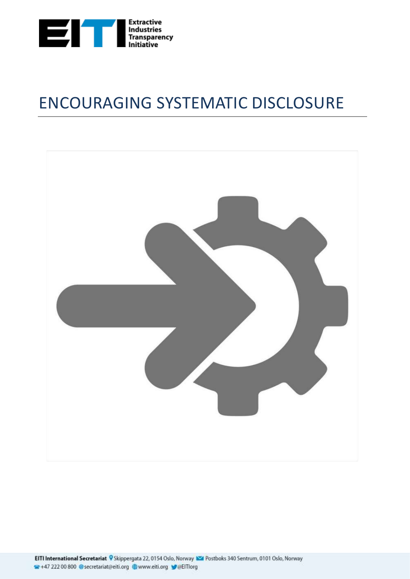

# ENCOURAGING SYSTEMATIC DISCLOSURE

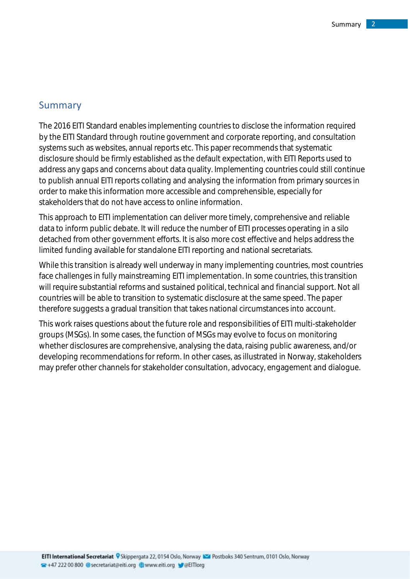### <span id="page-1-0"></span>Summary

The 2016 EITI Standard enables implementing countries to disclose the information required by the EITI Standard through routine government and corporate reporting, and consultation systems such as websites, annual reports etc. This paper recommends that systematic disclosure should be firmly established as the default expectation, with EITI Reports used to address any gaps and concerns about data quality. Implementing countries could still continue to publish annual EITI reports collating and analysing the information from primary sources in order to make this information more accessible and comprehensible, especially for stakeholders that do not have access to online information.

This approach to EITI implementation can deliver more timely, comprehensive and reliable data to inform public debate. It will reduce the number of EITI processes operating in a silo detached from other government efforts. It is also more cost effective and helps address the limited funding available for standalone EITI reporting and national secretariats.

While this transition is already well underway in many implementing countries, most countries face challenges in fully mainstreaming EITI implementation. In some countries, this transition will require substantial reforms and sustained political, technical and financial support. Not all countries will be able to transition to systematic disclosure at the same speed. The paper therefore suggests a gradual transition that takes national circumstances into account.

This work raises questions about the future role and responsibilities of EITI multi-stakeholder groups (MSGs). In some cases, the function of MSGs may evolve to focus on monitoring whether disclosures are comprehensive, analysing the data, raising public awareness, and/or developing recommendations for reform. In other cases, as illustrated in Norway, stakeholders may prefer other channels for stakeholder consultation, advocacy, engagement and dialogue.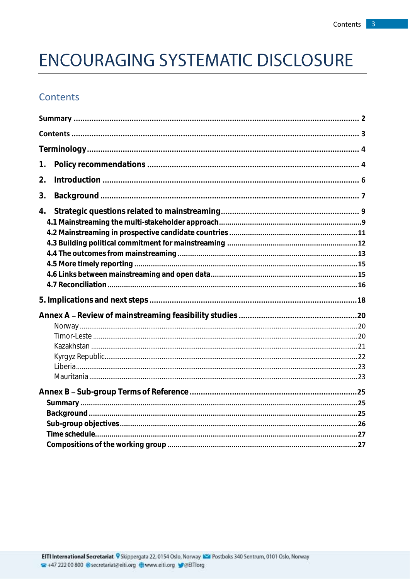# **ENCOURAGING SYSTEMATIC DISCLOSURE**

# <span id="page-2-0"></span>Contents

| 1. |
|----|
| 2. |
| 3. |
| 4. |
|    |
|    |
|    |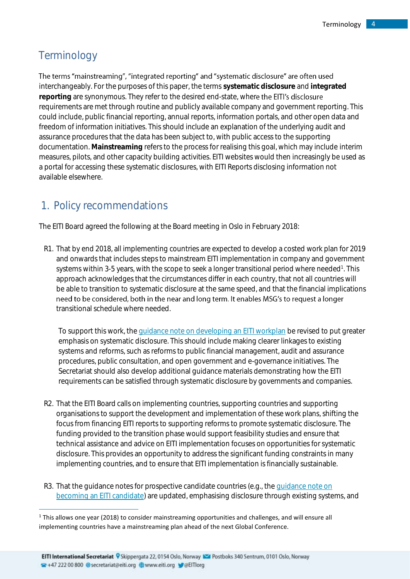# <span id="page-3-0"></span>**Terminology**

1

#### The terms "mainstreaming", "integrated reporting" and "systematic disclosure" are often used

interchangeably. For the purposes of this paper, the terms **systematic disclosure** and **integrated**  reporting are synonymous. They refer to the desired end-state, where the EITI's disclosure requirements are met through routine and publicly available company and government reporting. This could include, public financial reporting, annual reports, information portals, and other open data and freedom of information initiatives. This should include an explanation of the underlying audit and assurance procedures that the data has been subject to, with public access to the supporting documentation. **Mainstreaming** refers to the process for realising this goal, which may include interim measures, pilots, and other capacity building activities. EITI websites would then increasingly be used as a portal for accessing these systematic disclosures, with EITI Reports disclosing information not available elsewhere.

# <span id="page-3-1"></span>1. Policy recommendations

The EITI Board agreed the following at the Board meeting in Oslo in February 2018:

R1. That by end 2018, all implementing countries are expected to develop a costed work plan for 2019 and onwards that includes steps to mainstream EITI implementation in company and government systems within 3-5 years, with the scope to seek a longer transitional period where needed<sup>1</sup>. This approach acknowledges that the circumstances differ in each country, that not all countries will be able to transition to systematic disclosure at the same speed, and that the financial implications need to be considered, both in the near and long term. It enables MSG's to request a longer transitional schedule where needed.

To support this work, th[e guidance note on developing an EITI workplan](https://eiti.org/GN2) be revised to put greater emphasis on systematic disclosure. This should include making clearer linkages to existing systems and reforms, such as reforms to public financial management, audit and assurance procedures, public consultation, and open government and e-governance initiatives. The Secretariat should also develop additional guidance materials demonstrating how the EITI requirements can be satisfied through systematic disclosure by governments and companies.

- R2. That the EITI Board calls on implementing countries, supporting countries and supporting organisations to support the development and implementation of these work plans, shifting the focus from financing EITI reports to supporting reforms to promote systematic disclosure. The funding provided to the transition phase would support feasibility studies and ensure that technical assistance and advice on EITI implementation focuses on opportunities for systematic disclosure. This provides an opportunity to address the significant funding constraints in many implementing countries, and to ensure that EITI implementation is financially sustainable.
- R3. That the guidance notes for prospective candidate countries (e.g., th[e guidance note on](https://eiti.org/document/guidance-note-on-becoming-eiti-candidate)  [becoming an EITI candidate\)](https://eiti.org/document/guidance-note-on-becoming-eiti-candidate) are updated, emphasising disclosure through existing systems, and

 $1$  This allows one year (2018) to consider mainstreaming opportunities and challenges, and will ensure all implementing countries have a mainstreaming plan ahead of the next Global Conference.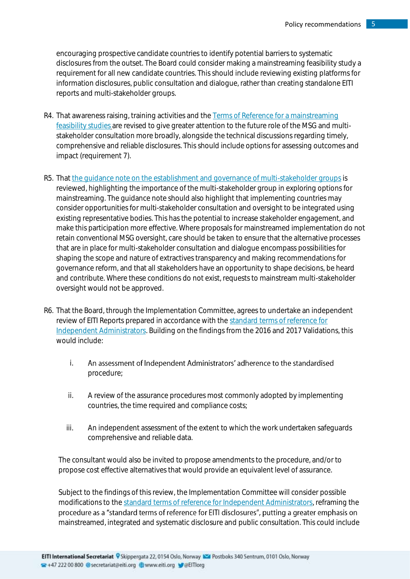encouraging prospective candidate countries to identify potential barriers to systematic disclosures from the outset. The Board could consider making a mainstreaming feasibility study a requirement for all new candidate countries. This should include reviewing existing platforms for information disclosures, public consultation and dialogue, rather than creating standalone EITI reports and multi-stakeholder groups.

- R4. That awareness raising, training activities and the Terms of Reference for a mainstreaming [feasibility studies](https://eiti.org/document/terms-of-reference-for-mainstreaming-feasibility-study) are revised to give greater attention to the future role of the MSG and multistakeholder consultation more broadly, alongside the technical discussions regarding timely, comprehensive and reliable disclosures. This should include options for assessing outcomes and impact (requirement 7).
- R5. Tha[t the guidance note on the establishment and governance of multi-stakeholder groups](https://eiti.org/document/guidance-note-14-on-establishment-governance-of-multistakeholder-groups) is reviewed, highlighting the importance of the multi-stakeholder group in exploring options for mainstreaming. The guidance note should also highlight that implementing countries may consider opportunities for multi-stakeholder consultation and oversight to be integrated using existing representative bodies. This has the potential to increase stakeholder engagement, and make this participation more effective. Where proposals for mainstreamed implementation do not retain conventional MSG oversight, care should be taken to ensure that the alternative processes that are in place for multi-stakeholder consultation and dialogue encompass possibilities for shaping the scope and nature of extractives transparency and making recommendations for governance reform, and that all stakeholders have an opportunity to shape decisions, be heard and contribute. Where these conditions do not exist, requests to mainstream multi-stakeholder oversight would not be approved.
- R6. That the Board, through the Implementation Committee, agrees to undertake an independent review of EITI Reports prepared in accordance with th[e standard terms of reference for](https://eiti.org/document/standard-terms-of-reference-for-independent-administrator-services)  [Independent Administrators.](https://eiti.org/document/standard-terms-of-reference-for-independent-administrator-services) Building on the findings from the 2016 and 2017 Validations, this would include:
	- i. An assessment of Independent Administrators' adherence to the standardised procedure;
	- ii. A review of the assurance procedures most commonly adopted by implementing countries, the time required and compliance costs;
	- iii. An independent assessment of the extent to which the work undertaken safeguards comprehensive and reliable data.

The consultant would also be invited to propose amendments to the procedure, and/or to propose cost effective alternatives that would provide an equivalent level of assurance.

Subject to the findings of this review, the Implementation Committee will consider possible modifications to th[e standard terms of reference for Independent Administrators,](https://eiti.org/document/standard-terms-of-reference-for-independent-administrator-services) reframing the procedure as a "standard terms of reference for EITI disclosures", putting a greater emphasis on mainstreamed, integrated and systematic disclosure and public consultation. This could include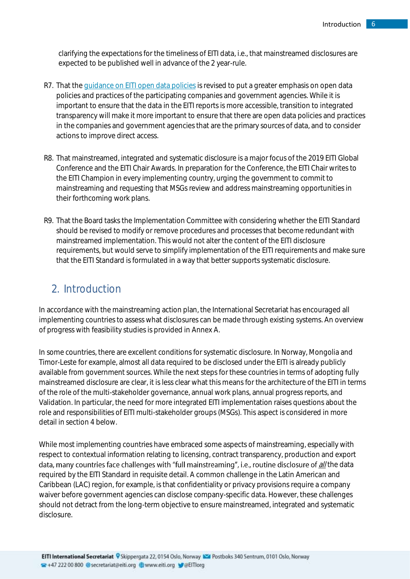clarifying the expectations for the timeliness of EITI data, i.e., that mainstreamed disclosures are expected to be published well in advance of the 2 year-rule.

- R7. That the quidance on EITI open data policies is revised to put a greater emphasis on open data policies and practices of the participating companies and government agencies. While it is important to ensure that the data in the EITI reports is more accessible, transition to integrated transparency will make it more important to ensure that there are open data policies and practices in the companies and government agencies that are the primary sources of data, and to consider actions to improve direct access.
- R8. That mainstreamed, integrated and systematic disclosure is a major focus of the 2019 EITI Global Conference and the EITI Chair Awards. In preparation for the Conference, the EITI Chair writes to the EITI Champion in every implementing country, urging the government to commit to mainstreaming and requesting that MSGs review and address mainstreaming opportunities in their forthcoming work plans.
- R9. That the Board tasks the Implementation Committee with considering whether the EITI Standard should be revised to modify or remove procedures and processes that become redundant with mainstreamed implementation. This would not alter the content of the EITI disclosure requirements, but would serve to simplify implementation of the EITI requirements and make sure that the EITI Standard is formulated in a way that better supports systematic disclosure.

# <span id="page-5-0"></span>2. Introduction

In accordance with the mainstreaming action plan, the International Secretariat has encouraged all implementing countries to assess what disclosures can be made through existing systems. An overview of progress with feasibility studies is provided in Annex A.

In some countries, there are excellent conditions for systematic disclosure. In Norway, Mongolia and Timor-Leste for example, almost all data required to be disclosed under the EITI is already publicly available from government sources. While the next steps for these countries in terms of adopting fully mainstreamed disclosure are clear, it is less clear what this means for the architecture of the EITI in terms of the role of the multi-stakeholder governance, annual work plans, annual progress reports, and Validation. In particular, the need for more integrated EITI implementation raises questions about the role and responsibilities of EITI multi-stakeholder groups (MSGs). This aspect is considered in more detail in section 4 below.

While most implementing countries have embraced some aspects of mainstreaming, especially with respect to contextual information relating to licensing, contract transparency, production and export data, many countries face challenges with "full mainstreaming", i.e., routine disclosure of  $\frac{d}{dt}$ the data required by the EITI Standard in requisite detail. A common challenge in the Latin American and Caribbean (LAC) region, for example, is that confidentiality or privacy provisions require a company waiver before government agencies can disclose company-specific data. However, these challenges should not detract from the long-term objective to ensure mainstreamed, integrated and systematic disclosure.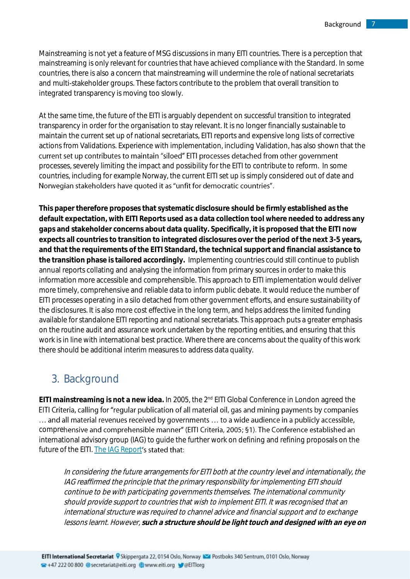Mainstreaming is not yet a feature of MSG discussions in many EITI countries. There is a perception that mainstreaming is only relevant for countries that have achieved compliance with the Standard. In some countries, there is also a concern that mainstreaming will undermine the role of national secretariats and multi-stakeholder groups. These factors contribute to the problem that overall transition to integrated transparency is moving too slowly.

At the same time, the future of the EITI is arguably dependent on successful transition to integrated transparency in order for the organisation to stay relevant. It is no longer financially sustainable to maintain the current set up of national secretariats, EITI reports and expensive long lists of corrective actions from Validations. Experience with implementation, including Validation, has also shown that the current set up contributes to maintain "siloed" EITI processes detached from other government processes, severely limiting the impact and possibility for the EITI to contribute to reform. In some countries, including for example Norway, the current EITI set up is simply considered out of date and Norwegian stakeholders have quoted it as "unfit for democratic countries".

**This paper therefore proposes that systematic disclosure should be firmly established as the default expectation, with EITI Reports used as a data collection tool where needed to address any gaps and stakeholder concerns about data quality. Specifically, it is proposed that the EITI now expects all countries to transition to integrated disclosures over the period of the next 3-5 years, and that the requirements of the EITI Standard, the technical support and financial assistance to the transition phase is tailored accordingly.** Implementing countries could still continue to publish annual reports collating and analysing the information from primary sources in order to make this information more accessible and comprehensible. This approach to EITI implementation would deliver more timely, comprehensive and reliable data to inform public debate. It would reduce the number of EITI processes operating in a silo detached from other government efforts, and ensure sustainability of the disclosures. It is also more cost effective in the long term, and helps address the limited funding available for standalone EITI reporting and national secretariats. This approach puts a greater emphasis on the routine audit and assurance work undertaken by the reporting entities, and ensuring that this work is in line with international best practice. Where there are concerns about the quality of this work there should be additional interim measures to address data quality.

# <span id="page-6-0"></span>3. Background

**EITI mainstreaming is not a new idea.** In 2005, the 2nd EITI Global Conference in London agreed the EITI Criteria, calling for "regular publication of all material oil, gas and mining payments by companies ... and all material revenues received by governments ... to a wide audience in a publicly accessible, comprehensive and comprehensible manner" (EITI Criteria, 2005; §1). The Conference established an international advisory group (IAG) to guide the further work on defining and refining proposals on the future of the EITI. [The IAG Report](https://eiti.org/sites/default/files/documents/eiti_iag_report_english.pdf)'s stated that:

In considering the future arrangements for EITI both at the country level and internationally, the IAG reaffirmed the principle that the primary responsibility for implementing EITI should continue to be with participating governments themselves. The international community should provide support to countries that wish to implement EITI. It was recognised that an international structure was required to channel advice and financial support and to exchange lessons learnt. However, **such a structure should be light touch and designed with an eye on**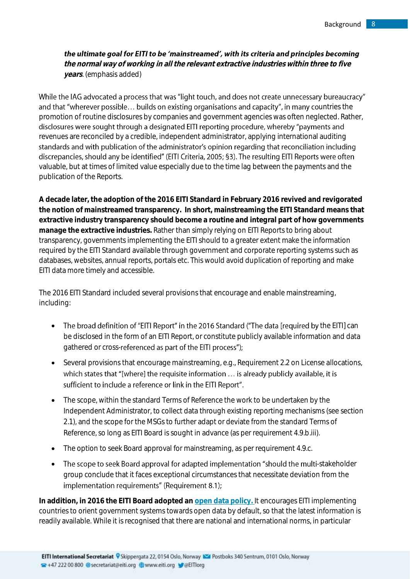the ultimate goal for EITI to be 'mainstreamed', with its criteria and principles becoming **the normal way of working in all the relevant extractive industries within three to five years**. (emphasis added)

While the IAG advocated a process that was "light touch, and does not create unnecessary bureaucracy" and that "wherever possible... builds on existing organisations and capacity", in many countries the promotion of routine disclosures by companies and government agencies was often neglected. Rather, disclosures were sought through a designated EITI reporting procedure, whereby "payments and revenues are reconciled by a credible, independent administrator, applying international auditing standards and with publication of the administrator's opinion regarding that reconciliation including discrepancies, should any be identified" (EITI Criteria, 2005; §3). The resulting EITI Reports were often valuable, but at times of limited value especially due to the time lag between the payments and the publication of the Reports.

**A decade later, the adoption of the 2016 EITI Standard in February 2016 revived and revigorated the notion of mainstreamed transparency. In short, mainstreaming the EITI Standard means that extractive industry transparency should become a routine and integral part of how governments manage the extractive industries.** Rather than simply relying on EITI Reports to bring about transparency, governments implementing the EITI should to a greater extent make the information required by the EITI Standard available through government and corporate reporting systems such as databases, websites, annual reports, portals etc. This would avoid duplication of reporting and make EITI data more timely and accessible.

The 2016 EITI Standard included several provisions that encourage and enable mainstreaming, including:

- The broad definition of "EITI Report" in the 2016 Standard ("The data [required by the EITI] can be disclosed in the form of an EITI Report, or constitute publicly available information and data gathered or cross-referenced as part of the EITI process");
- Several provisions that encourage mainstreaming, e.g., Requirement 2.2 on License allocations, which states that "[where] the requisite information ... is already publicly available, it is sufficient to include a reference or link in the EITI Report".
- The scope, within the standard Terms of Reference the work to be undertaken by the Independent Administrator, to collect data through existing reporting mechanisms (see section 2.1), and the scope for the MSGs to further adapt or deviate from the standard Terms of Reference, so long as EITI Board is sought in advance (as per requirement 4.9.b.iii).
- The option to seek Board approval for mainstreaming, as per requirement 4.9.c.
- The scope to seek Board approval for adapted implementation "should the multi-stakeholder group conclude that it faces exceptional circumstances that necessitate deviation from the implementation requirements" (Requirement 8.1);

**In addition, in 2016 the EITI Board adopted a[n open data policy.](https://eiti.org/document/eiti-open-data-policy)** It encourages EITI implementing countries to orient government systems towards open data by default, so that the latest information is readily available. While it is recognised that there are national and international norms, in particular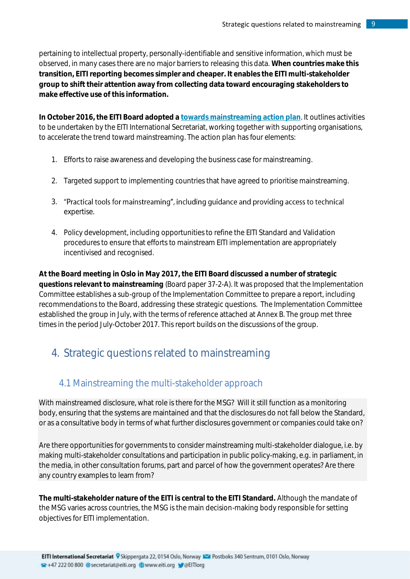pertaining to intellectual property, personally-identifiable and sensitive information, which must be observed, in many cases there are no major barriers to releasing this data. **When countries make this transition, EITI reporting becomes simpler and cheaper. It enables the EITI multi-stakeholder group to shift their attention away from collecting data toward encouraging stakeholders to make effective use of this information.**

**In October 2016, the EITI Board adopted [a towards mainstreaming action plan](https://www.google.com.ua/url?sa=t&rct=j&q=&esrc=s&source=web&cd=1&cad=rja&uact=8&ved=0ahUKEwj49of1xrTWAhXGO5oKHZYkB2EQFggqMAA&url=https%3A%2F%2Feiti.org%2Fsites%2Fdefault%2Ffiles%2Fdocuments%2F2016-10-towards_mainstreaming_action_plan.pdf&usg=AFQjCNHnLkslLTYPXBtKAfN0bOzT5XlDew)**. It outlines activities to be undertaken by the EITI International Secretariat, working together with supporting organisations, to accelerate the trend toward mainstreaming. The action plan has four elements:

- 1. Efforts to raise awareness and developing the business case for mainstreaming.
- 2. Targeted support to implementing countries that have agreed to prioritise mainstreaming.
- 3. "Practical tools for mainstreaming", including guidance and providing access to technical expertise.
- 4. Policy development, including opportunities to refine the EITI Standard and Validation procedures to ensure that efforts to mainstream EITI implementation are appropriately incentivised and recognised.

**At the Board meeting in Oslo in May 2017, the EITI Board discussed a number of strategic questions relevant to mainstreaming** (Board paper 37-2-A). It was proposed that the Implementation Committee establishes a sub-group of the Implementation Committee to prepare a report, including recommendations to the Board, addressing these strategic questions.The Implementation Committee established the group in July, with the terms of reference attached at Annex B. The group met three times in the period July-October 2017. This report builds on the discussions of the group.

# <span id="page-8-0"></span>4. Strategic questions related to mainstreaming

#### <span id="page-8-1"></span>4.1 Mainstreaming the multi-stakeholder approach

With mainstreamed disclosure, what role is there for the MSG? Will it still function as a monitoring body, ensuring that the systems are maintained and that the disclosures do not fall below the Standard, or as a consultative body in terms of what further disclosures government or companies could take on?

Are there opportunities for governments to consider mainstreaming multi-stakeholder dialogue, i.e. by making multi-stakeholder consultations and participation in public policy-making, e.g. in parliament, in the media, in other consultation forums, part and parcel of how the government operates? Are there any country examples to learn from?

**The multi-stakeholder nature of the EITI is central to the EITI Standard.** Although the mandate of the MSG varies across countries, the MSG is the main decision-making body responsible for setting objectives for EITI implementation.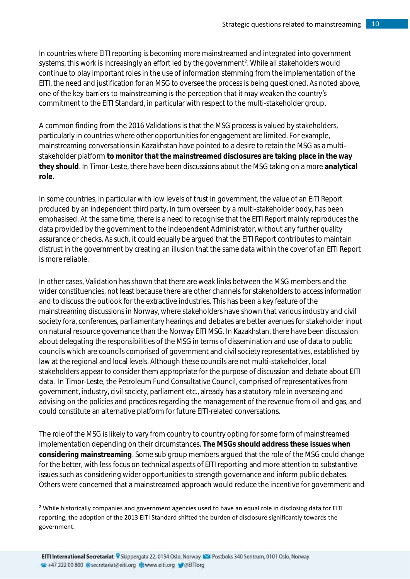In countries where EITI reporting is becoming more mainstreamed and integrated into government systems, this work is increasingly an effort led by the government<sup>2</sup>. While all stakeholders would continue to play important roles in the use of information stemming from the implementation of the EITI, the need and justification for an MSG to oversee the process is being questioned. As noted above, one of the key barriers to mainstreaming is the perception that it may weaken the country's commitment to the EITI Standard, in particular with respect to the multi-stakeholder group.

A common finding from the 2016 Validations is that the MSG process is valued by stakeholders, particularly in countries where other opportunities for engagement are limited. For example, mainstreaming conversations in Kazakhstan have pointed to a desire to retain the MSG as a multistakeholder platform **to monitor that the mainstreamed disclosures are taking place in the way they should**. In Timor-Leste, there have been discussions about the MSG taking on a more **analytical role**.

In some countries, in particular with low levels of trust in government, the value of an EITI Report produced by an independent third party, in turn overseen by a multi-stakeholder body, has been emphasised. At the same time, there is a need to recognise that the EITI Report mainly reproduces the data provided by the government to the Independent Administrator, without any further quality assurance or checks. As such, it could equally be argued that the EITI Report contributes to maintain distrust in the government by creating an illusion that the same data within the cover of an EITI Report is more reliable.

In other cases, Validation has shown that there are weak links between the MSG members and the wider constituencies, not least because there are other channels for stakeholders to access information and to discuss the outlook for the extractive industries. This has been a key feature of the mainstreaming discussions in Norway, where stakeholders have shown that various industry and civil society fora, conferences, parliamentary hearings and debates are better avenues for stakeholder input on natural resource governance than the Norway EITI MSG. In Kazakhstan, there have been discussion about delegating the responsibilities of the MSG in terms of dissemination and use of data to public councils which are councils comprised of government and civil society representatives, established by law at the regional and local levels. Although these councils are not multi-stakeholder, local stakeholders appear to consider them appropriate for the purpose of discussion and debate about EITI data. In Timor-Leste, the Petroleum Fund Consultative Council, comprised of representatives from government, industry, civil society, parliament etc., already has a statutory role in overseeing and advising on the policies and practices regarding the management of the revenue from oil and gas, and could constitute an alternative platform for future EITI-related conversations.

The role of the MSG is likely to vary from country to country opting for some form of mainstreamed implementation depending on their circumstances. **The MSGs should address these issues when considering mainstreaming**. Some sub group members argued that the role of the MSG could change for the better, with less focus on technical aspects of EITI reporting and more attention to substantive issues such as considering wider opportunities to strength governance and inform public debates. Others were concerned that a mainstreamed approach would reduce the incentive for government and

1

<sup>&</sup>lt;sup>2</sup> While historically companies and government agencies used to have an equal role in disclosing data for EITI reporting, the adoption of the 2013 EITI Standard shifted the burden of disclosure significantly towards the government.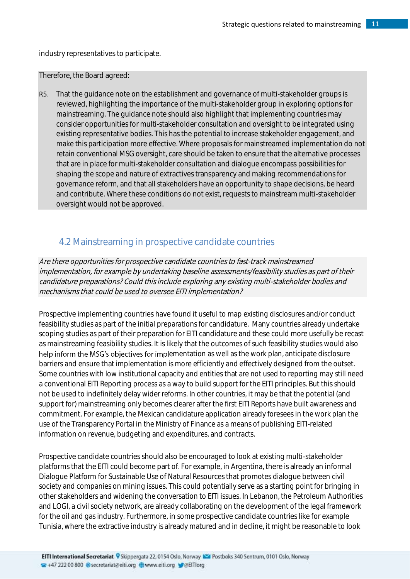industry representatives to participate.

Therefore, the Board agreed:

R5. That the quidance note on the establishment and governance of multi-stakeholder groups is reviewed, highlighting the importance of the multi-stakeholder group in exploring options for mainstreaming. The guidance note should also highlight that implementing countries may consider opportunities for multi-stakeholder consultation and oversight to be integrated using existing representative bodies. This has the potential to increase stakeholder engagement, and make this participation more effective. Where proposals for mainstreamed implementation do not retain conventional MSG oversight, care should be taken to ensure that the alternative processes that are in place for multi-stakeholder consultation and dialogue encompass possibilities for shaping the scope and nature of extractives transparency and making recommendations for governance reform, and that all stakeholders have an opportunity to shape decisions, be heard and contribute. Where these conditions do not exist, requests to mainstream multi-stakeholder oversight would not be approved.

## <span id="page-10-0"></span>4.2 Mainstreaming in prospective candidate countries

Are there opportunities for prospective candidate countries to fast-track mainstreamed implementation, for example by undertaking baseline assessments/feasibility studies as part of their candidature preparations? Could this include exploring any existing multi-stakeholder bodies and mechanisms that could be used to oversee EITI implementation?

Prospective implementing countries have found it useful to map existing disclosures and/or conduct feasibility studies as part of the initial preparations for candidature. Many countries already undertake scoping studies as part of their preparation for EITI candidature and these could more usefully be recast as mainstreaming feasibility studies. It is likely that the outcomes of such feasibility studies would also help inform the MSG's objectives for implementation as well as the work plan, anticipate disclosure barriers and ensure that implementation is more efficiently and effectively designed from the outset. Some countries with low institutional capacity and entities that are not used to reporting may still need a conventional EITI Reporting process as a way to build support for the EITI principles. But this should not be used to indefinitely delay wider reforms. In other countries, it may be that the potential (and support for) mainstreaming only becomes clearer after the first EITI Reports have built awareness and commitment. For example, the Mexican candidature application already foresees in the work plan the use of the Transparency Portal in the Ministry of Finance as a means of publishing EITI-related information on revenue, budgeting and expenditures, and contracts.

Prospective candidate countries should also be encouraged to look at existing multi-stakeholder platforms that the EITI could become part of. For example, in Argentina, there is already an informal Dialogue Platform for Sustainable Use of Natural Resources that promotes dialogue between civil society and companies on mining issues. This could potentially serve as a starting point for bringing in other stakeholders and widening the conversation to EITI issues. In Lebanon, the Petroleum Authorities and LOGI, a civil society network, are already collaborating on the development of the legal framework for the oil and gas industry. Furthermore, in some prospective candidate countries like for example Tunisia, where the extractive industry is already matured and in decline, it might be reasonable to look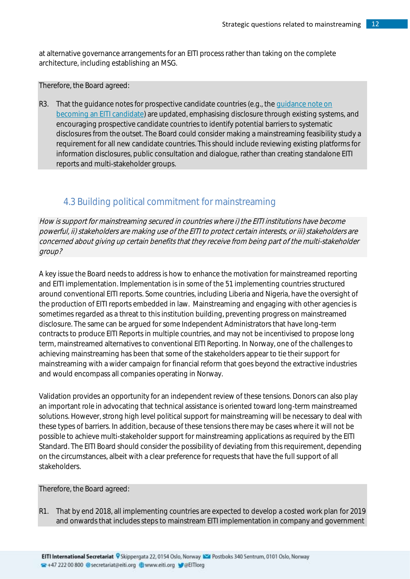at alternative governance arrangements for an EITI process rather than taking on the complete architecture, including establishing an MSG.

Therefore, the Board agreed:

R3. That the guidance notes for prospective candidate countries (e.g., th[e guidance note on](https://eiti.org/document/guidance-note-on-becoming-eiti-candidate)  [becoming an EITI candidate\)](https://eiti.org/document/guidance-note-on-becoming-eiti-candidate) are updated, emphasising disclosure through existing systems, and encouraging prospective candidate countries to identify potential barriers to systematic disclosures from the outset. The Board could consider making a mainstreaming feasibility study a requirement for all new candidate countries. This should include reviewing existing platforms for information disclosures, public consultation and dialogue, rather than creating standalone EITI reports and multi-stakeholder groups.

## 4.3 Building political commitment for mainstreaming

<span id="page-11-0"></span>How is support for mainstreaming secured in countries where i) the EITI institutions have become powerful, ii) stakeholders are making use of the EITI to protect certain interests, or iii) stakeholders are concerned about giving up certain benefits that they receive from being part of the multi-stakeholder group?

A key issue the Board needs to address is how to enhance the motivation for mainstreamed reporting and EITI implementation. Implementation is in some of the 51 implementing countries structured around conventional EITI reports. Some countries, including Liberia and Nigeria, have the oversight of the production of EITI reports embedded in law. Mainstreaming and engaging with other agencies is sometimes regarded as a threat to this institution building, preventing progress on mainstreamed disclosure. The same can be argued for some Independent Administrators that have long-term contracts to produce EITI Reports in multiple countries, and may not be incentivised to propose long term, mainstreamed alternatives to conventional EITI Reporting. In Norway, one of the challenges to achieving mainstreaming has been that some of the stakeholders appear to tie their support for mainstreaming with a wider campaign for financial reform that goes beyond the extractive industries and would encompass all companies operating in Norway.

Validation provides an opportunity for an independent review of these tensions. Donors can also play an important role in advocating that technical assistance is oriented toward long-term mainstreamed solutions. However, strong high level political support for mainstreaming will be necessary to deal with these types of barriers. In addition, because of these tensions there may be cases where it will not be possible to achieve multi-stakeholder support for mainstreaming applications as required by the EITI Standard. The EITI Board should consider the possibility of deviating from this requirement, depending on the circumstances, albeit with a clear preference for requests that have the full support of all stakeholders.

Therefore, the Board agreed:

R1. That by end 2018, all implementing countries are expected to develop a costed work plan for 2019 and onwards that includes steps to mainstream EITI implementation in company and government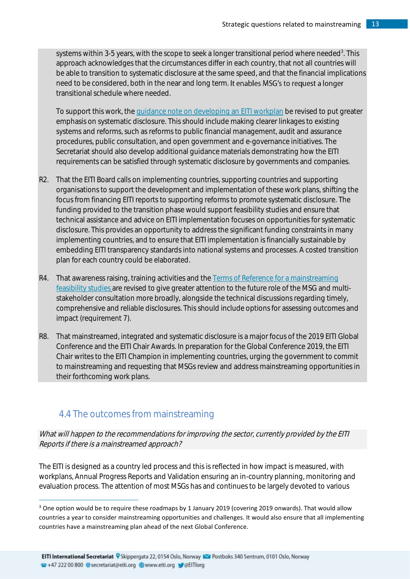systems within 3-5 years, with the scope to seek a longer transitional period where needed<sup>3</sup>. This approach acknowledges that the circumstances differ in each country, that not all countries will be able to transition to systematic disclosure at the same speed, and that the financial implications need to be considered, both in the near and long term. It enables MSG's to request a longer transitional schedule where needed.

To support this work, the [guidance note on developing an EITI workplan](https://eiti.org/GN2) be revised to put greater emphasis on systematic disclosure. This should include making clearer linkages to existing systems and reforms, such as reforms to public financial management, audit and assurance procedures, public consultation, and open government and e-governance initiatives. The Secretariat should also develop additional guidance materials demonstrating how the EITI requirements can be satisfied through systematic disclosure by governments and companies.

- R2. That the EITI Board calls on implementing countries, supporting countries and supporting organisations to support the development and implementation of these work plans, shifting the focus from financing EITI reports to supporting reforms to promote systematic disclosure. The funding provided to the transition phase would support feasibility studies and ensure that technical assistance and advice on EITI implementation focuses on opportunities for systematic disclosure. This provides an opportunity to address the significant funding constraints in many implementing countries, and to ensure that EITI implementation is financially sustainable by embedding EITI transparency standards into national systems and processes. A costed transition plan for each country could be elaborated.
- R4. That awareness raising, training activities and the Terms of Reference for a mainstreaming [feasibility studies](https://eiti.org/document/terms-of-reference-for-mainstreaming-feasibility-study) are revised to give greater attention to the future role of the MSG and multistakeholder consultation more broadly, alongside the technical discussions regarding timely, comprehensive and reliable disclosures. This should include options for assessing outcomes and impact (requirement 7).
- R8. That mainstreamed, integrated and systematic disclosure is a major focus of the 2019 EITI Global Conference and the EITI Chair Awards. In preparation for the Global Conference 2019, the EITI Chair writes to the EITI Champion in implementing countries, urging the government to commit to mainstreaming and requesting that MSGs review and address mainstreaming opportunities in their forthcoming work plans.

# <span id="page-12-0"></span>4.4 The outcomes from mainstreaming

1

What will happen to the recommendations for improving the sector, currently provided by the EITI Reports if there is a mainstreamed approach?

The EITI is designed as a country led process and this is reflected in how impact is measured, with workplans, Annual Progress Reports and Validation ensuring an in-country planning, monitoring and evaluation process. The attention of most MSGs has and continues to be largely devoted to various

<sup>&</sup>lt;sup>3</sup> One option would be to require these roadmaps by 1 January 2019 (covering 2019 onwards). That would allow countries a year to consider mainstreaming opportunities and challenges. It would also ensure that all implementing countries have a mainstreaming plan ahead of the next Global Conference.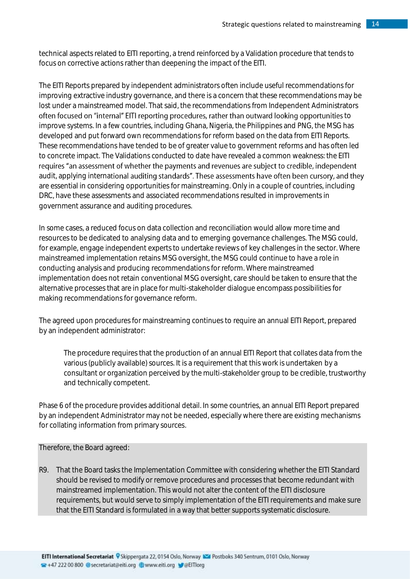technical aspects related to EITI reporting, a trend reinforced by a Validation procedure that tends to focus on corrective actions rather than deepening the impact of the EITI.

The EITI Reports prepared by independent administrators often include useful recommendations for improving extractive industry governance, and there is a concern that these recommendations may be lost under a mainstreamed model. That said, the recommendations from Independent Administrators often focused on "internal" EITI reporting procedures, rather than outward looking opportunities to improve systems. In a few countries, including Ghana, Nigeria, the Philippines and PNG, the MSG has developed and put forward own recommendations for reform based on the data from EITI Reports. These recommendations have tended to be of greater value to government reforms and has often led to concrete impact. The Validations conducted to date have revealed a common weakness: the EITI requires "an assessment of whether the payments and revenues are subject to credible, independent audit, applying international auditing standards". These assessments have often been cursory, and they are essential in considering opportunities for mainstreaming. Only in a couple of countries, including DRC, have these assessments and associated recommendations resulted in improvements in government assurance and auditing procedures.

In some cases, a reduced focus on data collection and reconciliation would allow more time and resources to be dedicated to analysing data and to emerging governance challenges. The MSG could, for example, engage independent experts to undertake reviews of key challenges in the sector. Where mainstreamed implementation retains MSG oversight, the MSG could continue to have a role in conducting analysis and producing recommendations for reform. Where mainstreamed implementation does not retain conventional MSG oversight, care should be taken to ensure that the alternative processes that are in place for multi-stakeholder dialogue encompass possibilities for making recommendations for governance reform.

The agreed upon procedures for mainstreaming continues to require an annual EITI Report, prepared by an independent administrator:

The procedure requires that the production of an annual EITI Report that collates data from the various (publicly available) sources. It is a requirement that this work is undertaken by a consultant or organization perceived by the multi-stakeholder group to be credible, trustworthy and technically competent.

Phase 6 of the procedure provides additional detail. In some countries, an annual EITI Report prepared by an independent Administrator may not be needed, especially where there are existing mechanisms for collating information from primary sources.

Therefore, the Board agreed:

R9. That the Board tasks the Implementation Committee with considering whether the EITI Standard should be revised to modify or remove procedures and processes that become redundant with mainstreamed implementation. This would not alter the content of the EITI disclosure requirements, but would serve to simply implementation of the EITI requirements and make sure that the EITI Standard is formulated in a way that better supports systematic disclosure.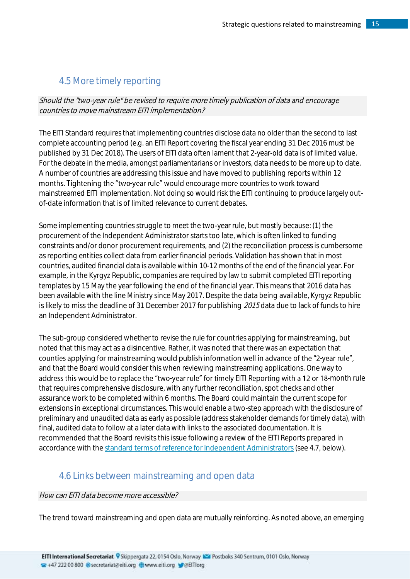## <span id="page-14-0"></span>4.5 More timely reporting

Should the "two-year rule" be revised to require more timely publication of data and encourage countries to move mainstream EITI implementation?

The EITI Standard requires that implementing countries disclose data no older than the second to last complete accounting period (e.g. an EITI Report covering the fiscal year ending 31 Dec 2016 must be published by 31 Dec 2018). The users of EITI data often lament that 2-year-old data is of limited value. For the debate in the media, amongst parliamentarians or investors, data needs to be more up to date. A number of countries are addressing this issue and have moved to publishing reports within 12 months. Tightening the "two-year rule" would encourage more countries to work toward mainstreamed EITI implementation. Not doing so would risk the EITI continuing to produce largely outof-date information that is of limited relevance to current debates.

Some implementing countries struggle to meet the two-year rule, but mostly because: (1) the procurement of the Independent Administrator starts too late, which is often linked to funding constraints and/or donor procurement requirements, and (2) the reconciliation process is cumbersome as reporting entities collect data from earlier financial periods. Validation has shown that in most countries, audited financial data is available within 10-12 months of the end of the financial year. For example, in the Kyrgyz Republic, companies are required by law to submit completed EITI reporting templates by 15 May the year following the end of the financial year. This means that 2016 data has been available with the line Ministry since May 2017. Despite the data being available, Kyrgyz Republic is likely to miss the deadline of 31 December 2017 for publishing 2015 data due to lack of funds to hire an Independent Administrator.

The sub-group considered whether to revise the rule for countries applying for mainstreaming, but noted that this may act as a disincentive. Rather, it was noted that there was an expectation that counties applying for mainstreaming would publish information well in advance of the "2-year rule", and that the Board would consider this when reviewing mainstreaming applications. One way to address this would be to replace the "two-year rule" for timely EITI Reporting with a 12 or 18-month rule that requires comprehensive disclosure, with any further reconciliation, spot checks and other assurance work to be completed within 6 months. The Board could maintain the current scope for extensions in exceptional circumstances. This would enable a two-step approach with the disclosure of preliminary and unaudited data as early as possible (address stakeholder demands for timely data), with final, audited data to follow at a later data with links to the associated documentation. It is recommended that the Board revisits this issue following a review of the EITI Reports prepared in accordance with the [standard terms of reference for Independent Administrators](https://eiti.org/document/standard-terms-of-reference-for-independent-administrator-services) (see 4.7, below).

## <span id="page-14-1"></span>4.6 Links between mainstreaming and open data

#### How can EITI data become more accessible?

The trend toward mainstreaming and open data are mutually reinforcing. As noted above, an emerging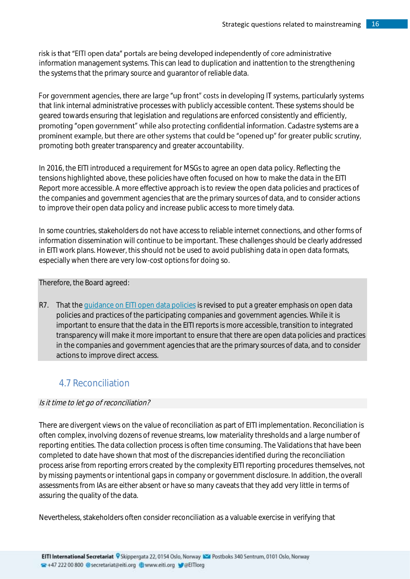## risk is that "EITI open data" portals are being developed independently of core administrative

information management systems. This can lead to duplication and inattention to the strengthening the systems that the primary source and guarantor of reliable data.

#### For government agencies, there are large "up front" costs in developing IT systems, particularly systems that link internal administrative processes with publicly accessible content. These systems should be geared towards ensuring that legislation and regulations are enforced consistently and efficiently, promoting "open government" while also protecting confidential information. Cadastre systems are a prominent example, but there are other systems that could be "opened up" for greater public scrutiny, promoting both greater transparency and greater accountability.

In 2016, the EITI introduced a requirement for MSGs to agree an open data policy. Reflecting the tensions highlighted above, these policies have often focused on how to make the data in the EITI Report more accessible. A more effective approach is to review the open data policies and practices of the companies and government agencies that are the primary sources of data, and to consider actions to improve their open data policy and increase public access to more timely data.

In some countries, stakeholders do not have access to reliable internet connections, and other forms of information dissemination will continue to be important. These challenges should be clearly addressed in EITI work plans. However, this should not be used to avoid publishing data in open data formats, especially when there are very low-cost options for doing so.

#### Therefore, the Board agreed:

R7. That the [guidance on EITI open data policies](https://eiti.org/document/guidance-note-27-on-creating-open-data-policy) is revised to put a greater emphasis on open data policies and practices of the participating companies and government agencies. While it is important to ensure that the data in the EITI reports is more accessible, transition to integrated transparency will make it more important to ensure that there are open data policies and practices in the companies and government agencies that are the primary sources of data, and to consider actions to improve direct access.

# <span id="page-15-0"></span>4.7 Reconciliation

#### Is it time to let go of reconciliation?

There are divergent views on the value of reconciliation as part of EITI implementation. Reconciliation is often complex, involving dozens of revenue streams, low materiality thresholds and a large number of reporting entities. The data collection process is often time consuming. The Validations that have been completed to date have shown that most of the discrepancies identified during the reconciliation process arise from reporting errors created by the complexity EITI reporting procedures themselves, not by missing payments or intentional gaps in company or government disclosure. In addition, the overall assessments from IAs are either absent or have so many caveats that they add very little in terms of assuring the quality of the data.

Nevertheless, stakeholders often consider reconciliation as a valuable exercise in verifying that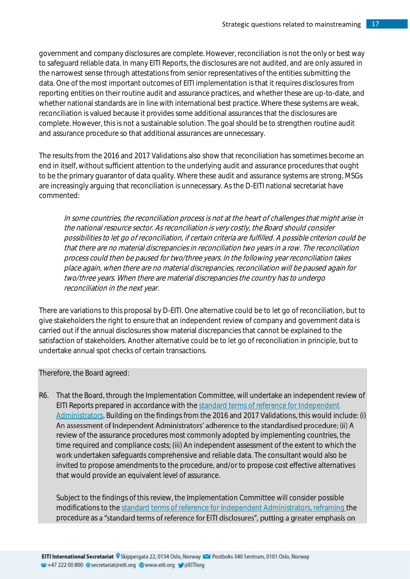government and company disclosures are complete. However, reconciliation is not the only or best way to safeguard reliable data. In many EITI Reports, the disclosures are not audited, and are only assured in the narrowest sense through attestations from senior representatives of the entities submitting the data. One of the most important outcomes of EITI implementation is that it requires disclosures from reporting entities on their routine audit and assurance practices, and whether these are up-to-date, and whether national standards are in line with international best practice. Where these systems are weak, reconciliation is valued because it provides some additional assurances that the disclosures are complete. However, this is not a sustainable solution. The goal should be to strengthen routine audit and assurance procedure so that additional assurances are unnecessary.

The results from the 2016 and 2017 Validations also show that reconciliation has sometimes become an end in itself, without sufficient attention to the underlying audit and assurance procedures that ought to be the primary guarantor of data quality. Where these audit and assurance systems are strong, MSGs are increasingly arguing that reconciliation is unnecessary. As the D-EITI national secretariat have commented:

In some countries, the reconciliation process is not at the heart of challenges that might arise in the national resource sector. As reconciliation is very costly, the Board should consider possibilities to let go of reconciliation, if certain criteria are fulfilled. A possible criterion could be that there are no material discrepancies in reconciliation two years in a row. The reconciliation process could then be paused for two/three years. In the following year reconciliation takes place again, when there are no material discrepancies, reconciliation will be paused again for two/three years. When there are material discrepancies the country has to undergo reconciliation in the next year.

There are variations to this proposal by D-EITI. One alternative could be to let go of reconciliation, but to give stakeholders the right to ensure that an independent review of company and government data is carried out if the annual disclosures show material discrepancies that cannot be explained to the satisfaction of stakeholders. Another alternative could be to let go of reconciliation in principle, but to undertake annual spot checks of certain transactions.

Therefore, the Board agreed:

R6. That the Board, through the Implementation Committee, will undertake an independent review of EITI Reports prepared in accordance with the [standard terms of reference for Independent](https://eiti.org/document/standard-terms-of-reference-for-independent-administrator-services)  [Administrators.](https://eiti.org/document/standard-terms-of-reference-for-independent-administrator-services) Building on the findings from the 2016 and 2017 Validations, this would include: (i) An assessment of Independent Administrators' adherence to the standardised procedure; (ii) A review of the assurance procedures most commonly adopted by implementing countries, the time required and compliance costs; (iii) An independent assessment of the extent to which the work undertaken safeguards comprehensive and reliable data. The consultant would also be invited to propose amendments to the procedure, and/or to propose cost effective alternatives that would provide an equivalent level of assurance.

Subject to the findings of this review, the Implementation Committee will consider possible modifications to th[e standard terms of reference for Independent Administrators,](https://eiti.org/document/standard-terms-of-reference-for-independent-administrator-services) reframing the procedure as a "standard terms of reference for EITI disclosures", putting a greater emphasis on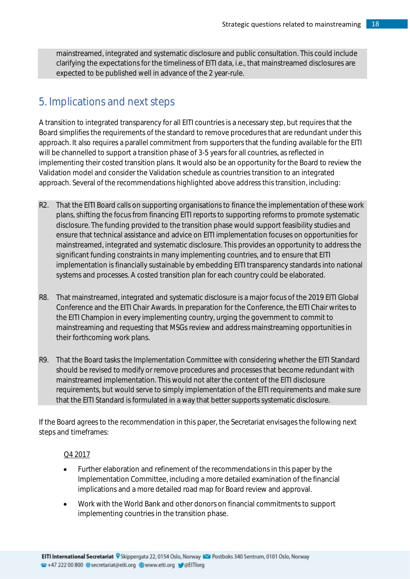mainstreamed, integrated and systematic disclosure and public consultation. This could include clarifying the expectations for the timeliness of EITI data, i.e., that mainstreamed disclosures are expected to be published well in advance of the 2 year-rule.

# <span id="page-17-0"></span>5. Implications and next steps

A transition to integrated transparency for all EITI countries is a necessary step, but requires that the Board simplifies the requirements of the standard to remove procedures that are redundant under this approach. It also requires a parallel commitment from supporters that the funding available for the EITI will be channelled to support a transition phase of 3-5 years for all countries, as reflected in implementing their costed transition plans. It would also be an opportunity for the Board to review the Validation model and consider the Validation schedule as countries transition to an integrated approach. Several of the recommendations highlighted above address this transition, including:

- R2. That the EITI Board calls on supporting organisations to finance the implementation of these work plans, shifting the focus from financing EITI reports to supporting reforms to promote systematic disclosure. The funding provided to the transition phase would support feasibility studies and ensure that technical assistance and advice on EITI implementation focuses on opportunities for mainstreamed, integrated and systematic disclosure. This provides an opportunity to address the significant funding constraints in many implementing countries, and to ensure that EITI implementation is financially sustainable by embedding EITI transparency standards into national systems and processes. A costed transition plan for each country could be elaborated.
- R8. That mainstreamed, integrated and systematic disclosure is a major focus of the 2019 EITI Global Conference and the EITI Chair Awards. In preparation for the Conference, the EITI Chair writes to the EITI Champion in every implementing country, urging the government to commit to mainstreaming and requesting that MSGs review and address mainstreaming opportunities in their forthcoming work plans.
- R9. That the Board tasks the Implementation Committee with considering whether the EITI Standard should be revised to modify or remove procedures and processes that become redundant with mainstreamed implementation. This would not alter the content of the EITI disclosure requirements, but would serve to simply implementation of the EITI requirements and make sure that the EITI Standard is formulated in a way that better supports systematic disclosure.

If the Board agrees to the recommendation in this paper, the Secretariat envisages the following next steps and timeframes:

#### Q4 2017

- Further elaboration and refinement of the recommendations in this paper by the Implementation Committee, including a more detailed examination of the financial implications and a more detailed road map for Board review and approval.
- Work with the World Bank and other donors on financial commitments to support implementing countries in the transition phase.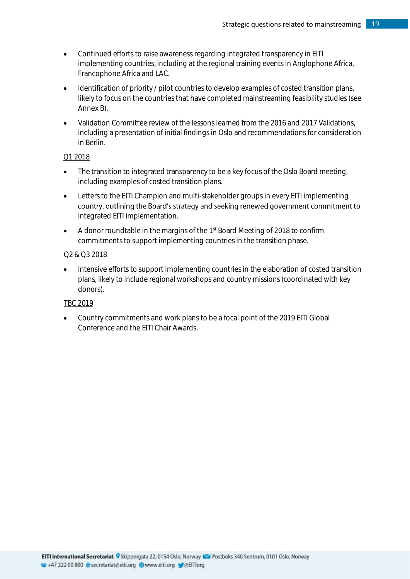- Continued efforts to raise awareness regarding integrated transparency in EITI implementing countries, including at the regional training events in Anglophone Africa, Francophone Africa and LAC.
- Identification of priority / pilot countries to develop examples of costed transition plans, likely to focus on the countries that have completed mainstreaming feasibility studies (see Annex B).
- Validation Committee review of the lessons learned from the 2016 and 2017 Validations, including a presentation of initial findings in Oslo and recommendations for consideration in Berlin.

#### Q1 2018

- The transition to integrated transparency to be a key focus of the Oslo Board meeting, including examples of costed transition plans.
- Letters to the EITI Champion and multi-stakeholder groups in every EITI implementing country, outlining the Board's strategy and seeking renewed government commitment to integrated EITI implementation.
- A donor roundtable in the margins of the 1<sup>st</sup> Board Meeting of 2018 to confirm commitments to support implementing countries in the transition phase.

#### Q2 & Q3 2018

• Intensive efforts to support implementing countries in the elaboration of costed transition plans, likely to include regional workshops and country missions (coordinated with key donors).

#### TBC 2019

• Country commitments and work plans to be a focal point of the 2019 EITI Global Conference and the EITI Chair Awards.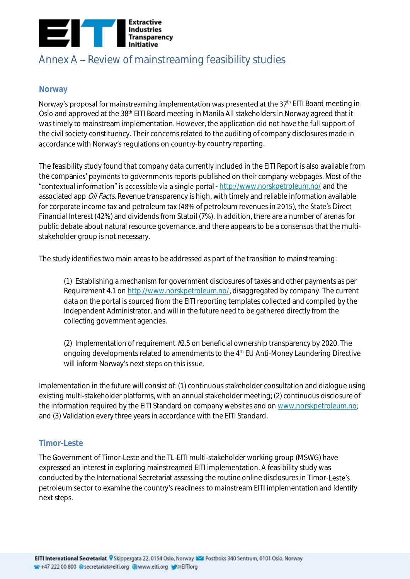

# <span id="page-19-0"></span>Annex  $A$  – Review of mainstreaming feasibility studies

#### <span id="page-19-1"></span>**Norway**

Norway's proposal for mainstreaming implementation was presented at the  $37<sup>th</sup>$  EITI Board meeting in Oslo and approved at the 38<sup>th</sup> EITI Board meeting in Manila All stakeholders in Norway agreed that it was timely to mainstream implementation. However, the application did not have the full support of the civil society constituency. Their concerns related to the auditing of company disclosures made in accordance with Norway's regulations on country-by country reporting.

The feasibility study found that company data currently included in the EITI Report is also available from the companies' payments to governments reports published on their company webpages. Most of the "contextual information" is accessible via a single portal - <http://www.norskpetroleum.no/> and the associated app Oil Facts. Revenue transparency is high, with timely and reliable information available for corporate income tax and petroleum tax (48% of petroleum revenues in 2015), the State's Direct Financial Interest (42%) and dividends from Statoil (7%). In addition, there are a number of arenas for public debate about natural resource governance, and there appears to be a consensus that the multistakeholder group is not necessary.

The study identifies two main areas to be addressed as part of the transition to mainstreaming:

(1) Establishing a mechanism for government disclosures of taxes and other payments as per Requirement 4.1 on [http://www.norskpetroleum.no/,](http://www.norskpetroleum.no/) disaggregated by company. The current data on the portal is sourced from the EITI reporting templates collected and compiled by the Independent Administrator, and will in the future need to be gathered directly from the collecting government agencies.

(2) Implementation of requirement #2.5 on beneficial ownership transparency by 2020. The ongoing developments related to amendments to the 4<sup>th</sup> EU Anti-Money Laundering Directive will inform Norway's next steps on this issue.

Implementation in the future will consist of: (1) continuous stakeholder consultation and dialogue using existing multi-stakeholder platforms, with an annual stakeholder meeting; (2) continuous disclosure of the information required by the EITI Standard on company websites and on [www.norskpetroleum.no;](http://www.norskpetroleum.no/) and (3) Validation every three years in accordance with the EITI Standard.

#### <span id="page-19-2"></span>**Timor-Leste**

The Government of Timor-Leste and the TL-EITI multi-stakeholder working group (MSWG) have expressed an interest in exploring mainstreamed EITI implementation. A feasibility study was conducted by the International Secretariat assessing the routine online disclosures in Timor-Leste's petroleum sector to examine the country's readiness to mainstream EITI implementation and identify next steps.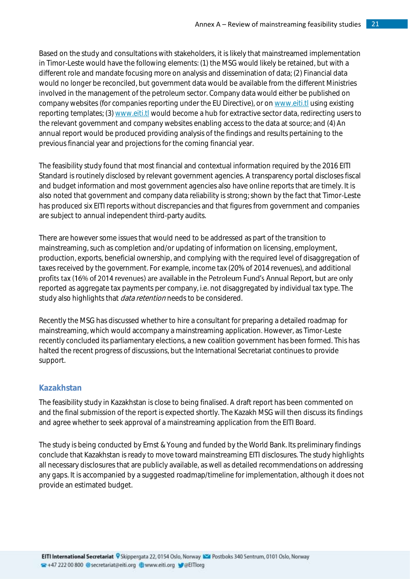Based on the study and consultations with stakeholders, it is likely that mainstreamed implementation in Timor-Leste would have the following elements: (1) the MSG would likely be retained, but with a different role and mandate focusing more on analysis and dissemination of data; (2) Financial data would no longer be reconciled, but government data would be available from the different Ministries involved in the management of the petroleum sector. Company data would either be published on company websites (for companies reporting under the EU Directive), or o[n www.eiti.tl](http://www.eiti.tl/) using existing reporting templates; (3) [www.eiti.tl](http://www.eiti.tl/) would become a hub for extractive sector data, redirecting users to the relevant government and company websites enabling access to the data at source; and (4) An annual report would be produced providing analysis of the findings and results pertaining to the previous financial year and projections for the coming financial year.

The feasibility study found that most financial and contextual information required by the 2016 EITI Standard is routinely disclosed by relevant government agencies. A transparency portal discloses fiscal and budget information and most government agencies also have online reports that are timely. It is also noted that government and company data reliability is strong; shown by the fact that Timor-Leste has produced six EITI reports without discrepancies and that figures from government and companies are subject to annual independent third-party audits.

There are however some issues that would need to be addressed as part of the transition to mainstreaming, such as completion and/or updating of information on licensing, employment, production, exports, beneficial ownership, and complying with the required level of disaggregation of taxes received by the government. For example, income tax (20% of 2014 revenues), and additional profits tax (16% of 2014 revenues) are available in the Petroleum Fund's Annual Report, but are only reported as aggregate tax payments per company, i.e. not disaggregated by individual tax type. The study also highlights that *data retention* needs to be considered.

Recently the MSG has discussed whether to hire a consultant for preparing a detailed roadmap for mainstreaming, which would accompany a mainstreaming application. However, as Timor-Leste recently concluded its parliamentary elections, a new coalition government has been formed. This has halted the recent progress of discussions, but the International Secretariat continues to provide support.

#### <span id="page-20-0"></span>**Kazakhstan**

The feasibility study in Kazakhstan is close to being finalised. A draft report has been commented on and the final submission of the report is expected shortly. The Kazakh MSG will then discuss its findings and agree whether to seek approval of a mainstreaming application from the EITI Board.

The study is being conducted by Ernst & Young and funded by the World Bank. Its preliminary findings conclude that Kazakhstan is ready to move toward mainstreaming EITI disclosures. The study highlights all necessary disclosures that are publicly available, as well as detailed recommendations on addressing any gaps. It is accompanied by a suggested roadmap/timeline for implementation, although it does not provide an estimated budget.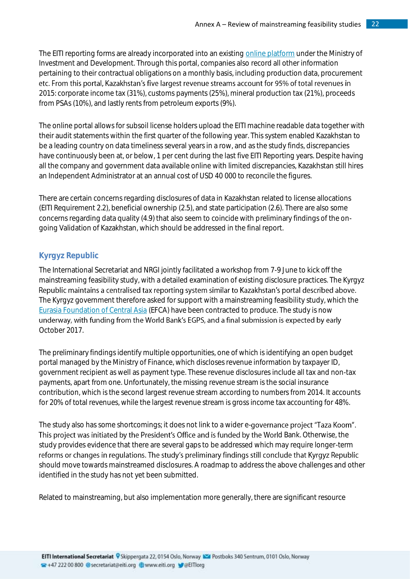The EITI reporting forms are already incorporated into an existin[g online platform](http://egsu.energo.gov.kz/webapp/pages/home.jsf) under the Ministry of Investment and Development. Through this portal, companies also record all other information pertaining to their contractual obligations on a monthly basis, including production data, procurement etc. From this portal, Kazakhstan's five largest revenue streams account for 95% of total revenues in 2015: corporate income tax (31%), customs payments (25%), mineral production tax (21%), proceeds from PSAs (10%), and lastly rents from petroleum exports (9%).

The online portal allows for subsoil license holders upload the EITI machine readable data together with their audit statements within the first quarter of the following year. This system enabled Kazakhstan to be a leading country on data timeliness several years in a row, and as the study finds, discrepancies have continuously been at, or below, 1 per cent during the last five EITI Reporting years. Despite having all the company and government data available online with limited discrepancies, Kazakhstan still hires an Independent Administrator at an annual cost of USD 40 000 to reconcile the figures.

There are certain concerns regarding disclosures of data in Kazakhstan related to license allocations (EITI Requirement 2.2), beneficial ownership (2.5), and state participation (2.6). There are also some concerns regarding data quality (4.9) that also seem to coincide with preliminary findings of the ongoing Validation of Kazakhstan, which should be addressed in the final report.

#### <span id="page-21-0"></span>**Kyrgyz Republic**

The International Secretariat and NRGI jointly facilitated a workshop from 7-9 June to kick off the mainstreaming feasibility study, with a detailed examination of existing disclosure practices. The Kyrgyz Republic maintains a centralised tax reporting system similar to Kazakhstan's portal described above. The Kyrgyz government therefore asked for support with a mainstreaming feasibility study, which the [Eurasia Foundation of Central Asia](http://en.ef-ca.kz/) (EFCA) have been contracted to produce. The study is now underway, with funding from the World Bank's EGPS, and a final submission is expected by early October 2017.

The preliminary findings identify multiple opportunities, one of which is identifying an open budget portal managed by the Ministry of Finance, which discloses revenue information by taxpayer ID, government recipient as well as payment type. These revenue disclosures include all tax and non-tax payments, apart from one. Unfortunately, the missing revenue stream is the social insurance contribution, which is the second largest revenue stream according to numbers from 2014. It accounts for 20% of total revenues, while the largest revenue stream is gross income tax accounting for 48%.

The study also has some shortcomings; it does not link to a wider e-governance project "Taza Koom". This project was initiated by the President's Office and is funded by the World Bank. Otherwise, the study provides evidence that there are several gaps to be addressed which may require longer-term reforms or changes in regulations. The study's preliminary findings still conclude that Kyrgyz Republic should move towards mainstreamed disclosures. A roadmap to address the above challenges and other identified in the study has not yet been submitted.

Related to mainstreaming, but also implementation more generally, there are significant resource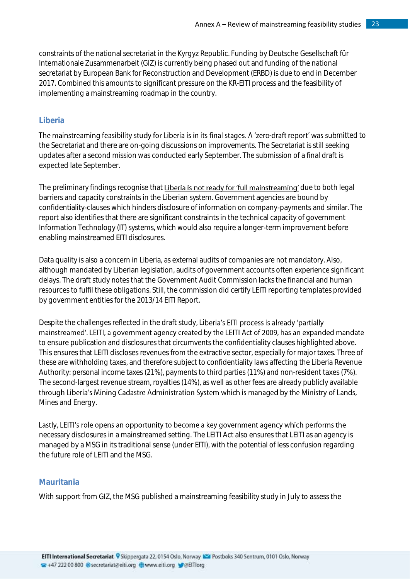constraints of the national secretariat in the Kyrgyz Republic. Funding by Deutsche Gesellschaft für Internationale Zusammenarbeit (GIZ) is currently being phased out and funding of the national secretariat by European Bank for Reconstruction and Development (ERBD) is due to end in December 2017. Combined this amounts to significant pressure on the KR-EITI process and the feasibility of implementing a mainstreaming roadmap in the country.

#### <span id="page-22-0"></span>**Liberia**

The mainstreaming feasibility study for Liberia is in its final stages. A 'zero-draft report' was submitted to the Secretariat and there are on-going discussions on improvements. The Secretariat is still seeking updates after a second mission was conducted early September. The submission of a final draft is expected late September.

The preliminary findings recognise that Liberia is not ready for 'full mainstreaming' due to both legal barriers and capacity constraints in the Liberian system. Government agencies are bound by confidentiality-clauses which hinders disclosure of information on company-payments and similar. The report also identifies that there are significant constraints in the technical capacity of government Information Technology (IT) systems, which would also require a longer-term improvement before enabling mainstreamed EITI disclosures.

Data quality is also a concern in Liberia, as external audits of companies are not mandatory. Also, although mandated by Liberian legislation, audits of government accounts often experience significant delays. The draft study notes that the Government Audit Commission lacks the financial and human resources to fulfil these obligations. Still, the commission did certify LEITI reporting templates provided by government entities for the 2013/14 EITI Report.

Despite the challenges reflected in the draft study, Liberia's EITI process is already 'partially mainstreamed'. LEITI, a government agency created by the LEITI Act of 2009, has an expanded mandate to ensure publication and disclosures that circumvents the confidentiality clauses highlighted above. This ensures that LEITI discloses revenues from the extractive sector, especially for major taxes. Three of these are withholding taxes, and therefore subject to confidentiality laws affecting the Liberia Revenue Authority: personal income taxes (21%), payments to third parties (11%) and non-resident taxes (7%). The second-largest revenue stream, royalties (14%), as well as other fees are already publicly available through Liberia's Mining Cadastre Administration System which is managed by the Ministry of Lands, Mines and Energy.

Lastly, LEITI's role opens an opportunity to become a key government agency which performs the necessary disclosures in a mainstreamed setting. The LEITI Act also ensures that LEITI as an agency is managed by a MSG in its traditional sense (under EITI), with the potential of less confusion regarding the future role of LEITI and the MSG.

#### <span id="page-22-1"></span>**Mauritania**

With support from GIZ, the MSG published a mainstreaming feasibility study in July to assess the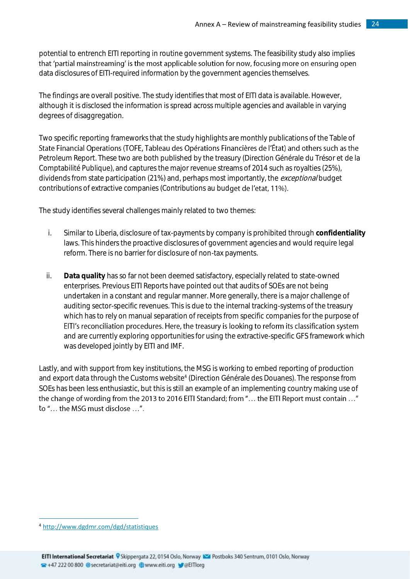potential to entrench EITI reporting in routine government systems. The feasibility study also implies that 'partial mainstreaming' is the most applicable solution for now, focusing more on ensuring open data disclosures of EITI-required information by the government agencies themselves.

The findings are overall positive. The study identifies that most of EITI data is available. However, although it is disclosed the information is spread across multiple agencies and available in varying degrees of disaggregation.

Two specific reporting frameworks that the study highlights are monthly publications of the Table of State Financial Operations (TOFE, Tableau des Opérations Financières de l'État) and others such as the Petroleum Report. These two are both published by the treasury (Direction Générale du Trésor et de la Comptabilité Publique), and captures the major revenue streams of 2014 such as royalties (25%), dividends from state participation (21%) and, perhaps most importantly, the *exceptional* budget contributions of extractive companies (Contributions au budget de l'etat, 11%).

The study identifies several challenges mainly related to two themes:

- i. Similar to Liberia, disclosure of tax-payments by company is prohibited through **confidentiality** laws. This hinders the proactive disclosures of government agencies and would require legal reform. There is no barrier for disclosure of non-tax payments.
- ii. **Data quality** has so far not been deemed satisfactory, especially related to state-owned enterprises. Previous EITI Reports have pointed out that audits of SOEs are not being undertaken in a constant and regular manner. More generally, there is a major challenge of auditing sector-specific revenues. This is due to the internal tracking-systems of the treasury which has to rely on manual separation of receipts from specific companies for the purpose of EITI's reconciliation procedures. Here, the treasury is looking to reform its classification system and are currently exploring opportunities for using the extractive-specific GFS framework which was developed jointly by EITI and IMF.

Lastly, and with support from key institutions, the MSG is working to embed reporting of production and export data through the Customs website<sup>4</sup> (Direction Générale des Douanes). The response from SOEs has been less enthusiastic, but this is still an example of an implementing country making use of the change of wording from the 2013 to 2016 EITI Standard; from "... the EITI Report must contain ..." to "... the MSG must disclose ...".

1

 $\overline{a}$ <sup>4</sup> <http://www.dgdmr.com/dgd/statistiques>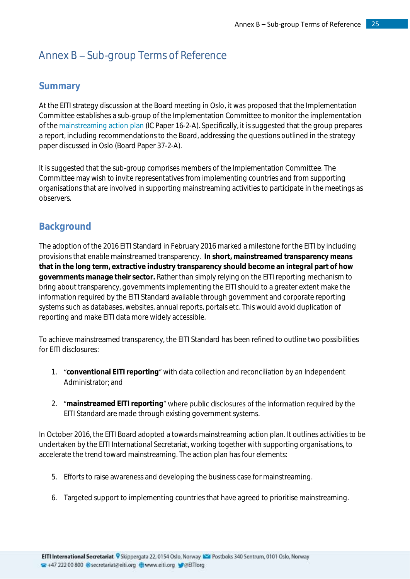# <span id="page-24-0"></span>Annex  $B - Sub-group$  Terms of Reference

## <span id="page-24-1"></span>**Summary**

At the EITI strategy discussion at the Board meeting in Oslo, it was proposed that the Implementation Committee establishes a sub-group of the Implementation Committee to monitor the implementation of the [mainstreaming action plan](https://eiti.org/document/mainstreaming-action-plan) (IC Paper 16-2-A). Specifically, it is suggested that the group prepares a report, including recommendations to the Board, addressing the questions outlined in the strategy paper discussed in Oslo (Board Paper 37-2-A).

It is suggested that the sub-group comprises members of the Implementation Committee. The Committee may wish to invite representatives from implementing countries and from supporting organisations that are involved in supporting mainstreaming activities to participate in the meetings as observers.

# <span id="page-24-2"></span>**Background**

The adoption of the 2016 EITI Standard in February 2016 marked a milestone for the EITI by including provisions that enable mainstreamed transparency. **In short, mainstreamed transparency means that in the long term, extractive industry transparency should become an integral part of how governments manage their sector.** Rather than simply relying on the EITI reporting mechanism to bring about transparency, governments implementing the EITI should to a greater extent make the information required by the EITI Standard available through government and corporate reporting systems such as databases, websites, annual reports, portals etc. This would avoid duplication of reporting and make EITI data more widely accessible.

To achieve mainstreamed transparency, the EITI Standard has been refined to outline two possibilities for EITI disclosures:

- 1. **"**conventional EITI reporting" with data collection and reconciliation by an Independent Administrator; and
- 2. *"mainstreamed EITI reporting"* where public disclosures of the information required by the EITI Standard are made through existing government systems.

In October 2016, the EITI Board adopted a towards mainstreaming action plan. It outlines activities to be undertaken by the EITI International Secretariat, working together with supporting organisations, to accelerate the trend toward mainstreaming. The action plan has four elements:

- 5. Efforts to raise awareness and developing the business case for mainstreaming.
- 6. Targeted support to implementing countries that have agreed to prioritise mainstreaming.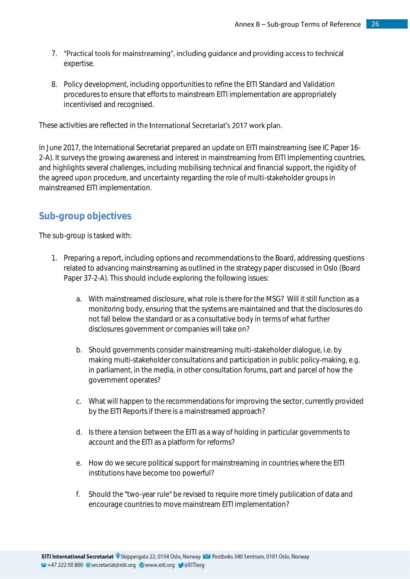- 7. "Practical tools for mainstreaming", including guidance and providing access to technical expertise.
- 8. Policy development, including opportunities to refine the EITI Standard and Validation procedures to ensure that efforts to mainstream EITI implementation are appropriately incentivised and recognised.

These activities are reflected in the International Secretariat's 2017 work plan.

In June 2017, the International Secretariat prepared an update on EITI mainstreaming (see IC Paper 16- 2-A). It surveys the growing awareness and interest in mainstreaming from EITI Implementing countries, and highlights several challenges, including mobilising technical and financial support, the rigidity of the agreed upon procedure, and uncertainty regarding the role of multi-stakeholder groups in mainstreamed EITI implementation.

## <span id="page-25-0"></span>**Sub-group objectives**

The sub-group is tasked with:

- 1. Preparing a report, including options and recommendations to the Board, addressing questions related to advancing mainstreaming as outlined in the strategy paper discussed in Oslo (Board Paper 37-2-A). This should include exploring the following issues:
	- a. With mainstreamed disclosure, what role is there for the MSG? Will it still function as a monitoring body, ensuring that the systems are maintained and that the disclosures do not fall below the standard or as a consultative body in terms of what further disclosures government or companies will take on?
	- b. Should governments consider mainstreaming multi-stakeholder dialogue, i.e. by making multi-stakeholder consultations and participation in public policy-making, e.g. in parliament, in the media, in other consultation forums, part and parcel of how the government operates?
	- c. What will happen to the recommendations for improving the sector, currently provided by the EITI Reports if there is a mainstreamed approach?
	- d. Is there a tension between the EITI as a way of holding in particular governments to account and the EITI as a platform for reforms?
	- e. How do we secure political support for mainstreaming in countries where the EITI institutions have become too powerful?
	- f. Should the "two-year rule" be revised to require more timely publication of data and encourage countries to move mainstream EITI implementation?